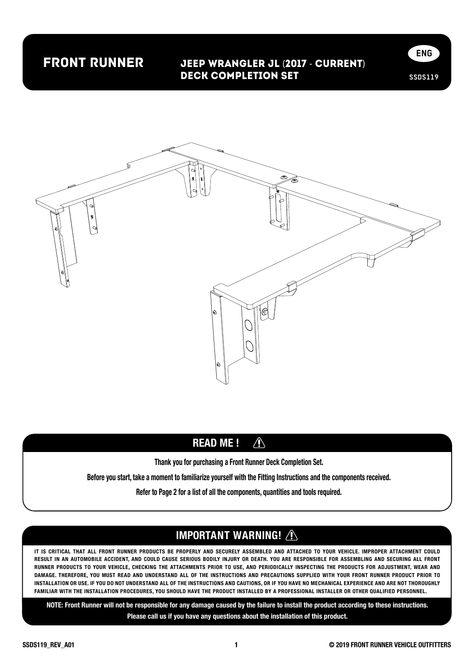## front runner

#### Jeep Wrangler JL (2017 - Current) Deck Completion Set





#### READ ME !  $\bigwedge$

Thank you for purchasing a Front Runner Deck Completion Set.

Before you start, take a moment to familiarize yourself with the Fitting Instructions and the components received.

Refer to Page 2 for a list of all the components, quantities and tools required.

#### IMPORTANT WARNING! **A**

IT IS CRITICAL THAT ALL FRONT RUNNER PRODUCTS BE PROPERLY AND SECURELY ASSEMBLED AND ATTACHED TO YOUR VEHICLE. IMPROPER ATTACHMENT COULD RESULT IN AN AUTOMOBILE ACCIDENT, AND COULD CAUSE SERIOUS BODILY INJURY OR DEATH. YOU ARE RESPONSIBLE FOR ASSEMBLING AND SECURING ALL FRONT RUNNER PRODUCTS TO YOUR VEHICLE, CHECKING THE ATTACHMENTS PRIOR TO USE, AND PERIODICALLY INSPECTING THE PRODUCTS FOR ADJUSTMENT, WEAR AND DAMAGE. THEREFORE, YOU MUST READ AND UNDERSTAND ALL OF THE INSTRUCTIONS AND PRECAUTIONS SUPPLIED WITH YOUR FRONT RUNNER PRODUCT PRIOR TO INSTALLATION OR USE. IF YOU DO NOT UNDERSTAND ALL OF THE INSTRUCTIONS AND CAUTIONS, OR IF YOU HAVE NO MECHANICAL EXPERIENCE AND ARE NOT THOROUGHLY FAMILIAR WITH THE INSTALLATION PROCEDURES, YOU SHOULD HAVE THE PRODUCT INSTALLED BY A PROFESSIONAL INSTALLER OR OTHER QUALIFIED PERSONNEL.

NOTE: Front Runner will not be responsible for any damage caused by the failure to install the product according to these instructions. Please call us if you have any questions about the installation of this product.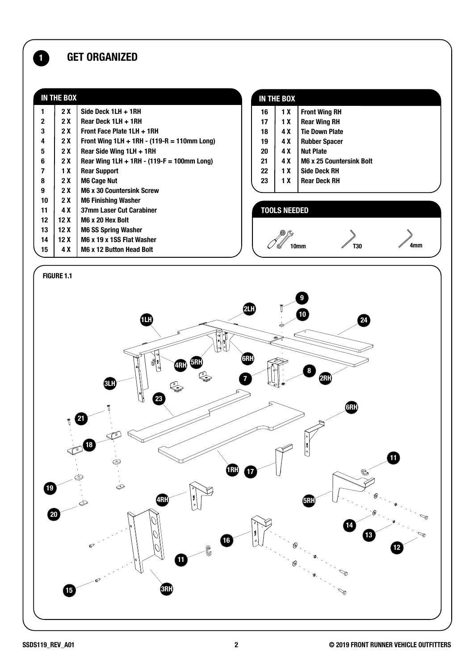### **1** GET ORGANIZED

| <b>IN THE BOX</b> |     |                                               |                     | IN THE BOX |                                 |     |
|-------------------|-----|-----------------------------------------------|---------------------|------------|---------------------------------|-----|
|                   | 2X  | Side Deck 1LH + 1RH                           | 16                  | 1 X        | <b>Front Wing RH</b>            |     |
| 2                 | 2 X | Rear Deck 1LH + 1RH                           | 17                  | 1 X        | <b>Rear Wing RH</b>             |     |
| 3                 | 2 X | Front Face Plate 1LH + 1RH                    | 18                  | 4 X        | <b>Tie Down Plate</b>           |     |
| 4                 | 2 X | Front Wing $1LH + 1RH - (119-R = 110mm Long)$ | 19                  | 4 X        | <b>Rubber Spacer</b>            |     |
| 5                 | 2 X | Rear Side Wing 1LH + 1RH                      | 20                  | 4 X        | <b>Nut Plate</b>                |     |
| 6                 | 2 X | Rear Wing $1LH + 1RH - (119-F = 100$ mm Long) | 21                  | 4 X        | <b>M6 x 25 Countersink Bolt</b> |     |
|                   | 1 X | <b>Rear Support</b>                           | 22                  | 1 X        | <b>Side Deck RH</b>             |     |
| 8                 | 2 X | <b>M6 Cage Nut</b>                            | 23                  | 1 X        | <b>Rear Deck RH</b>             |     |
| 9                 | 2 X | <b>M6 x 30 Countersink Screw</b>              |                     |            |                                 |     |
| 10                | 2 X | <b>M6 Finishing Washer</b>                    |                     |            |                                 |     |
| 11                | 4 X | 37mm Laser Cut Carabiner                      | <b>TOOLS NEEDED</b> |            |                                 |     |
| 12                | 12X | M6 x 20 Hex Bolt                              |                     |            |                                 |     |
| 13                | 12X | <b>M6 SS Spring Washer</b>                    |                     |            |                                 |     |
| 14                | 12X | M6 x 19 x 1SS Flat Washer                     |                     |            |                                 |     |
| 15                | 4 X | M6 x 12 Button Head Bolt                      |                     |            | T30<br>10 <sub>mm</sub>         | 4mm |

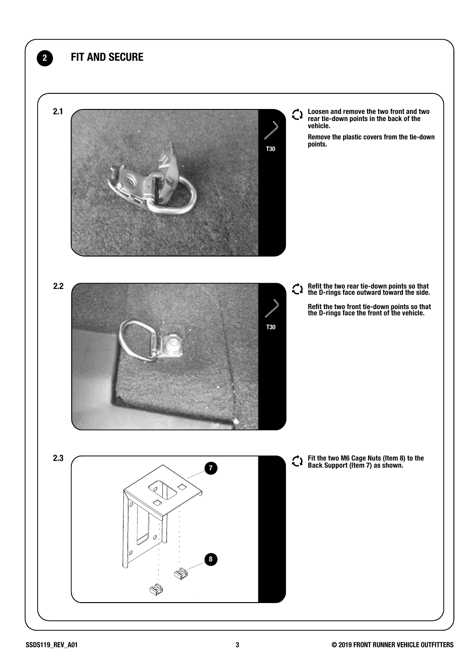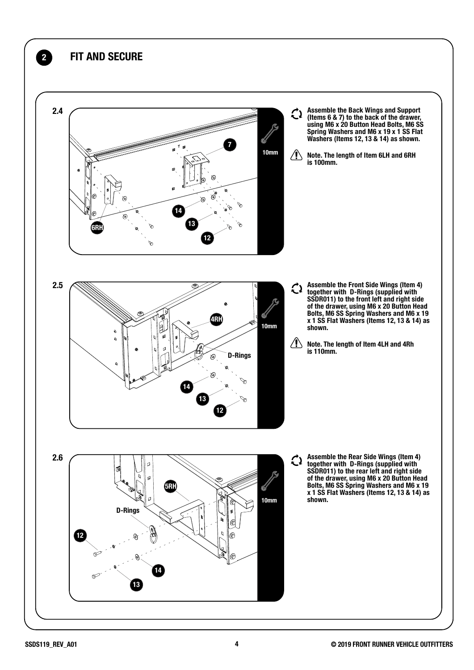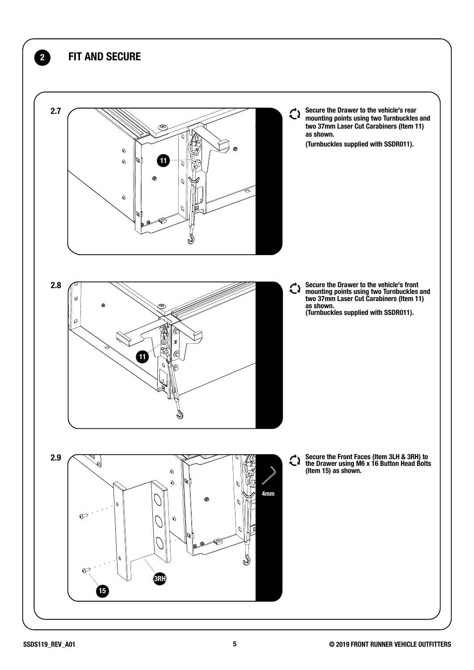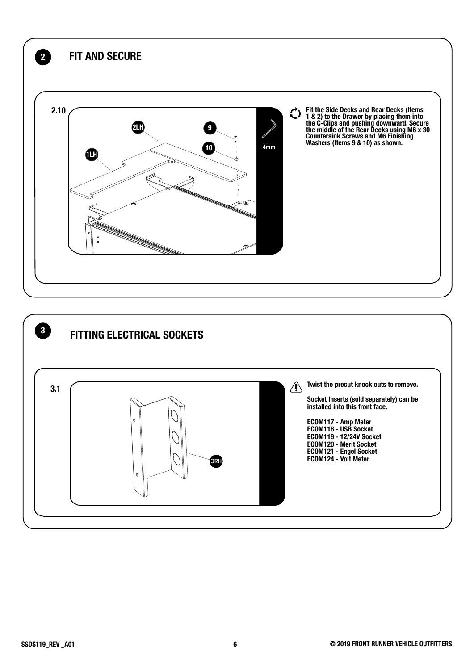